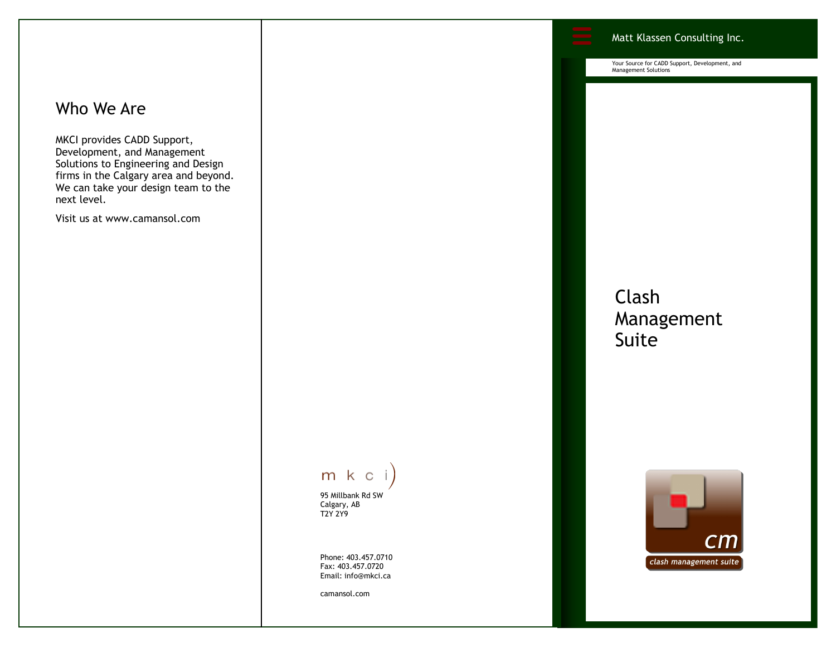### Who We Are

MKCI provides CADD Support, Development, and Management Solutions to Engineering and Design firms in the Calgary area and beyond. We can take your design team to the next level.

Visit us at www.camansol.com



95 Millbank Rd SW Calgary, AB T2Y 2Y9

Phone: 403.457.0710 Fax: 403.457.0720 Email: info@mkci.ca

camansol.com

Your Source for CADD Support, Development, and Management Solutions

Matt Klassen Consulting Inc.

## Clash Management Suite